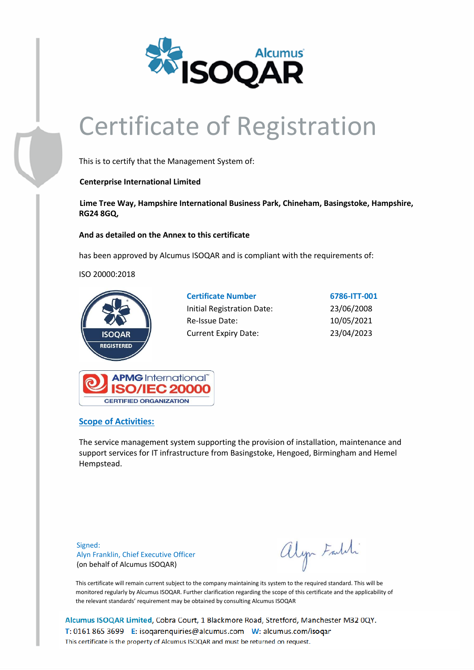

# Certificate of Registration

This is to certify that the Management System of:

### **Centerprise International Limited**

**Lime Tree Way, Hampshire International Business Park, Chineham, Basingstoke, Hampshire, RG24 8GQ,**

### **And as detailed on the Annex to this certificate**

has been approved by Alcumus ISOQAR and is compliant with the requirements of:

ISO 20000:2018



| <b>Certificate Number</b>   | 6786-ITT-001 |
|-----------------------------|--------------|
| Initial Registration Date:  | 23/06/2008   |
| Re-Issue Date:              | 10/05/2021   |
| <b>Current Expiry Date:</b> | 23/04/2023   |



## **Scope of Activities:**

The service management system supporting the provision of installation, maintenance and support services for IT infrastructure from Basingstoke, Hengoed, Birmingham and Hemel Hempstead.

Signed: Alyn Franklin, Chief Executive Officer (on behalf of Alcumus ISOQAR)

alyn Faldi

This certificate will remain current subject to the company maintaining its system to the required standard. This will be monitored regularly by Alcumus ISOQAR. Further clarification regarding the scope of this certificate and the applicability of the relevant standards' requirement may be obtained by consulting Alcumus ISOQAR

Alcumus ISOQAR Limited, Cobra Court, 1 Blackmore Road, Stretford, Manchester M32 0QY. T: 0161 865 3699 E: isoqarenquiries@alcumus.com W: alcumus.com/isoqar This certificate is the property of Alcumus ISOQAR and must be returned on request.